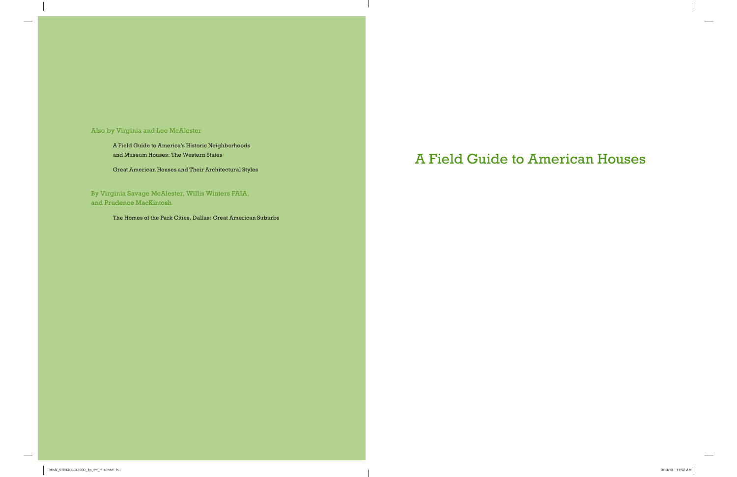### Also by Virginia and Lee McAlester

A Field Guide to America's Historic Neighborhoods and Museum Houses: The Western States

Great American Houses and Their Architectural Styles

By Virginia Savage McAlester, Willis Winters FAIA, and Prudence MacKintosh

The Homes of the Park Cities, Dallas: Great American Suburbs

### A Field Guide to American Houses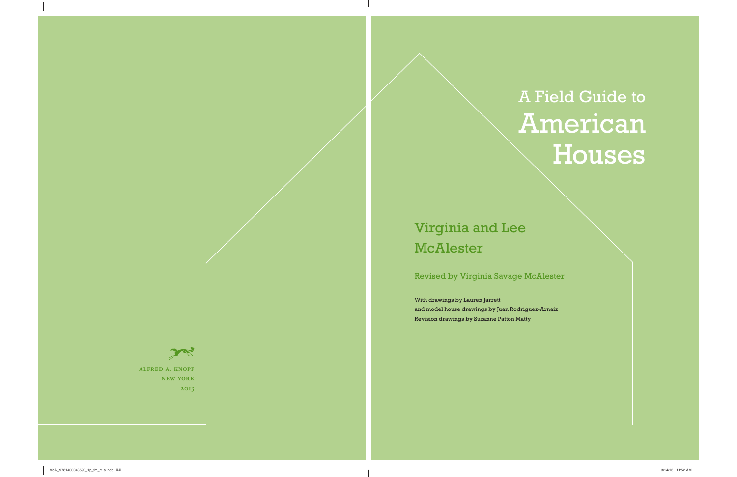**alfred a. knopf new york 2013**

# A Field Guide to American Houses



Revised by Virginia Savage McAlester

With drawings by Lauren Jarrett and model house drawings by Juan Rodriguez-Arnaiz Revision drawings by Suzanne Patton Matty

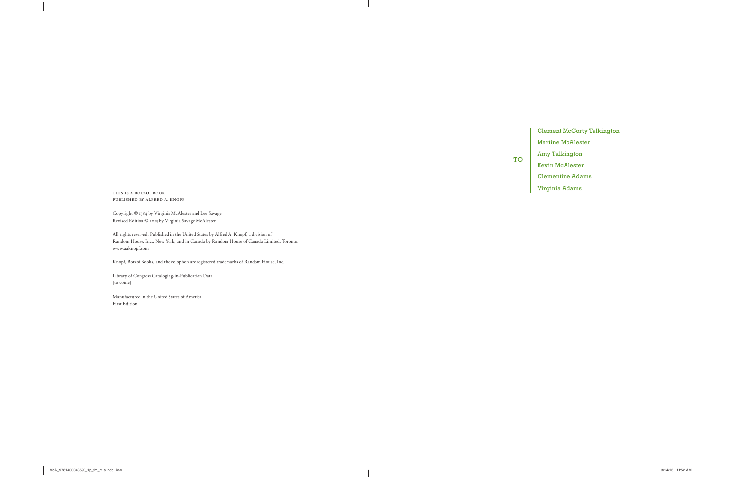this is a borzoi book published by alfred a. knopf

Copyright © 1984 by Virginia McAlester and Lee Savage Revised Edition © 2013 by Virginia Savage McAlester

All rights reserved. Published in the United States by Alfred A. Knopf, a division of Random House, Inc., New York, and in Canada by Random House of Canada Limited, Toronto. www.aaknopf.com

Knopf, Borzoi Books, and the colophon are registered trademarks of Random House, Inc.

Library of Congress Cataloging-in-Publication Data [to come]

Manufactured in the United States of America First Edition

 $\overline{\phantom{a}}$ 

TO

- Clement McCorty Talkington Martine McAlester
- Amy Talkington
- Kevin McAlester
- Clementine Adams
- Virginia Adams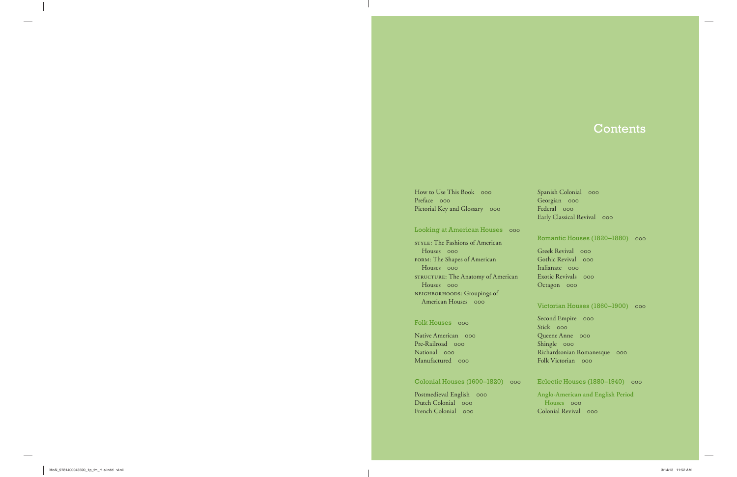### Contents

anish Colonial 000 eorgian 000 Federal 000 arly Classical Revival 000

### rantic Houses (1820–1880) ooo

| How to Use This Book 000                 | $Sp_{3}$       |
|------------------------------------------|----------------|
| Preface 000                              | Ge             |
| Pictorial Key and Glossary 000           | Fee            |
|                                          | Ea             |
|                                          |                |
| <b>Looking at American Houses</b><br>000 |                |
| <b>STYLE: The Fashions of American</b>   | Ro             |
| Houses 000                               | Gr             |
| FORM: The Shapes of American             | Go             |
| Houses 000                               | Ita            |
| STRUCTURE: The Anatomy of American       | Ex             |
| Houses 000                               | O <sub>0</sub> |
| NEIGHBORHOODS: Groupings of              |                |
| American Houses 000                      |                |
|                                          | Vi             |
|                                          | Sec            |
| <b>Folk Houses</b> 000                   | Sti            |
| Native American 000                      | Qι             |
| Pre-Railroad 000                         | Sh             |
| National 000                             | Rio            |
| Manufactured 000                         | Fo.            |
|                                          |                |
|                                          |                |
| Colonial Houses (1600-1820)<br>000       | Ec             |
| Postmedieval English ooo                 | An             |
| Dutch Colonial 000                       |                |
| French Colonial 000                      | $\rm{Cc}$      |
|                                          |                |
|                                          |                |

Greek Revival 000 Gothic Revival 000 Italianate 000 Exotic Revivals 000 ctagon 000

cond Empire 000 Stick 000 ueene Anne 000 ingle 000 chardsonian Romanesque 000 Folk Victorian 000

### $\text{electric} \, \text{House} \, (1880\text{--}1940)$   $\,\,\,\,$  000

**Anglo-American and English Period Houses** 000 Colonial Revival 000

### Victorian Houses (1860–1900) <sup>000</sup>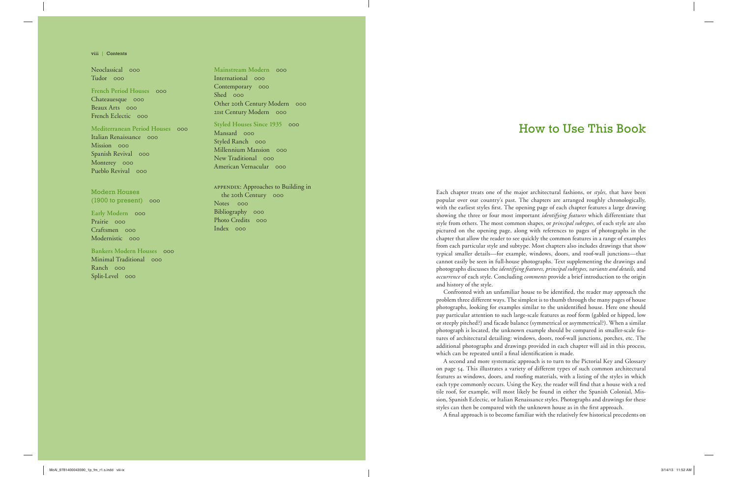#### viii | Contents

Neoclassical 000 Tudor 000

**Mediterranean Period Houses** 000 Italian Renaissance 000Mission 000 Spanish Revival 000 Monterey 000 Pueblo Revival 000

**French Period Houses** Chateauesque 000 Beaux Arts French Eclectic

### Modern Houses (1900 to present) 000

Early Modern 000 Prairie 000Craftsmen 000Modernistic 000

**Bankers Modern Houses** 000Minimal Traditional 000 Ranch 000 Split-Level 000

Mansard 000Styled Ranch 000 Millennium Mansion 000 New Traditional 000 American Vernacular 000

**Mainstream Modern** 000International 000Contemporary 000 Shed 000 Other 20th Century Modern 000 <sup>21</sup>st Century Modern <sup>000</sup>

### **Styled Houses Since 1935** <sup>000</sup>

appendix: Approaches to Building in the 20th Century 000 Notes 000 Bibliography 000 Photo Credits 000 Index 000

### How to Use This Book

A second and more systematic approach is to turn to the Pictorial Key and Glossary on page <sup>54</sup>. This illustrates a variety of different types of such common architectural features as windows, doors, and roofing materials, with a listing of the styles in which each type commonly occurs. Using the Key, the reader will find that a house with a red tile roof, for example, will most likely be found in either the Spanish Colonial, Mission, Spanish Eclectic, or Italian Renaissance styles. Photographs and drawings for these styles can then be compared with the unknown house as in the first approach. A final approach is to become familiar with the relatively few historical precedents on

Each chapter treats one of the major architectural fashions, or *styles,* that have been popular over our country's past. The chapters are arranged roughly chronologically, with the earliest styles first. The opening page of each chapter features a large drawing showing the three or four most important *identifying features* which differentiate that style from others. The most common shapes, or *principal subtypes,* of each style are also <sup>p</sup>ictured on the opening page, along with references to pages of photographs in the chapter that allow the reader to see quickly the common features in a range of examples from each particular style and subtype. Most chapters also includes drawings that show typical smaller details—for example, windows, doors, and roof-wall junctions—that cannot easily be seen in full-house photographs. Text supplementing the drawings and <sup>p</sup>hotographs discusses the *identifying features, principal subtypes, variants and details,* and *occurrence* of each style. Concluding *comments* provide a brief introduction to the origin and history of the style.

Confronted with an unfamiliar house to be identified, the reader may approach the problem three different ways. The simplest is to thumb through the many pages of house photographs, looking for examples similar to the unidentified house. Here one should pay particular attention to such large- scale features as roof form (gabled or hipped, low or steeply pitched?) and facade balance (symmetrical or asymmetrical?). When a similar photograph is located, the unknown example should be compared in smaller-scale features of architectural detailing: windows, doors, roof-wall junctions, porches, etc. The additional photographs and drawings provided in each chapter will aid in this process, which can be repeated until a final identification is made.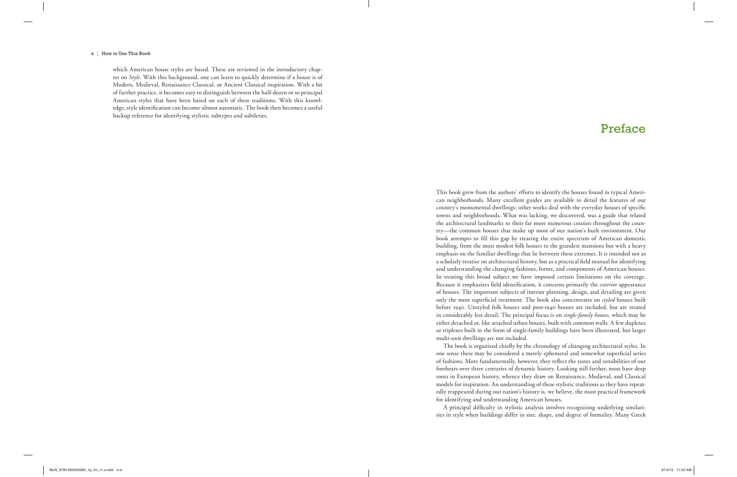### x | How to Use This Book

This book grew from the authors' efforts to identify the houses found in typical American neighborhoods. Many excellent guides are available to detail the features of our country's monumental dwellings; other works deal with the everyday houses of specific towns and neighborhoods. What was lacking, we discovered, was a guide that related the architectural landmarks to their far more numerous cousins throughout the country—the common houses that make up most of our nation's built environment. Our book attempts to fill this gap by treating the entire spectrum of American domestic building, from the most modest folk houses to the grandest mansions but with a heavy emphasis on the familiar dwellings that lie between these extremes. It is intended not as a scholarly treatise on architectural history, but as a practical field manual for identifying and understanding the changing fashions, forms, and components of American houses. In treating this broad subject we have imposed certain limitations on the coverage. Because it emphasizes field identification, it concerns primarily the *exterior* appearance of houses. The important subjects of interior planning, design, and detailing are given only the most superficial treatment. The book also concentrates on *styled* houses built before 1940. Unstyled folk houses and post- 1940 houses are included, but are treated in considerably less detail. The principal focus is on *single- family houses,* which may be either detached or, like attached urban houses, built with common walls. A few duplexes or triplexes built in the form of single-family buildings have been illustrated, but larger multi-unit dwellings are not included.

### Preface

The book is organized chiefly by the chronology of changing architectural styles. In one sense these may be considered a merely ephemeral and somewhat superficial series of fashions. More fundamentally, however, they reflect the tastes and sensibilities of our forebears over three centuries of dynamic history. Looking still farther, most have deep roots in European history, whence they draw on Renaissance, Medieval, and Classical models for inspiration. An understanding of these stylistic traditions as they have repeatedly reappeared during our nation's history is, we believe, the most practical framework for identifying and understanding American houses.

A principal difficulty in stylistic analysis involves recognizing underlying similarities in style when buildings differ in size, shape, and degree of formality. Many Greek

which American house styles are based. These are reviewed in the introductory chapter on *Style.* With this background, one can learn to quickly determine if a house is of Modern, Medieval, Renaissance Classical, or Ancient Classical inspiration. With a bit of further practice, it becomes easy to distinguish between the half- dozen or so principal American styles that have been based on each of these traditions. With this knowledge, style identification can become almost automatic. The book then becomes a useful backup reference for identifying stylistic subtypes and subtleties.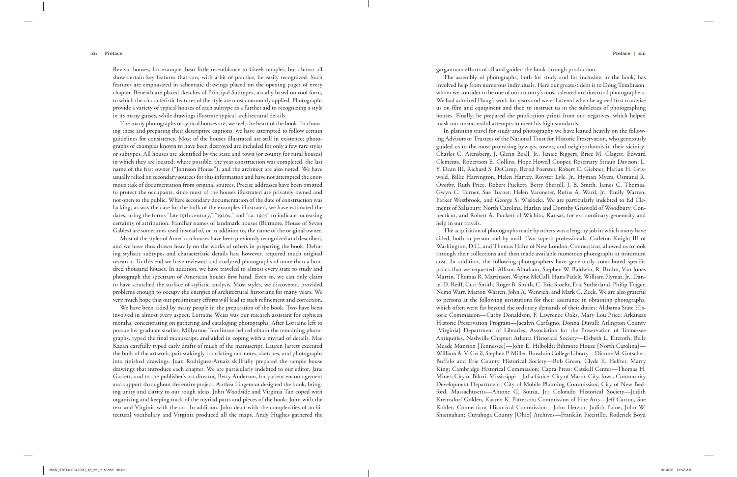gargantuan efforts of all and guided the book through production.

The assembly of photographs, both for study and for inclusion in the book, has involved help from numerous individuals. Here our greatest debt is to Doug Tomlinson, whom we consider to be one of our country's most talented architectural photographers. We had admired Doug's work for years and were flattered when he agreed first to advise us on film and equipment and then to instruct us in the subtleties of photographing houses. Finally, he prepared the publication prints from our negatives, which helped mask our unsuccessful attempts to meet his high standards.

In planning travel for study and photography we have leaned heavily on the following Advisors or Trustees of the National Trust for Historic Preservation, who generously guided us to the most promising byways, towns, and neighborhoods in their vicinity: Charles C. Arensberg, J. Glenn Beall, Jr., Janice Biggers, Brice M. Clagett, Edward Clements, Robertson E. Collins, Hope Howell Cooper, Rosemary Straub Davison, L. Y. Dean III, Richard S. DeCamp, Bernd Foerster, Robert C. Giebner, Harlan H. Griswold, Billie Harrington, Helen Harvey, Royster Lyle, Jr., Hyman Myers, Osmund R. Overby, Ruth Price, Robert Puckett, Betty Sherrill, J. B. Smith, James C. Thomas, Gwyn C. Turner, Sue Turner, Helen Vanmeter, Rufus A. Ward, Jr., Emily Warren, Parker Westbrook, and George S. Wislocki. We are particularly indebted to Ed Clements of Salisbury, North Carolina, Harlan and Dorothy Griswold of Woodbury, Connecticut, and Robert A. Puckett of Wichita, Kansas, for extraordinary generosity and help in our travels.

The acquisition of photographs made by others was a lengthy job in which many have aided, both in person and by mail. Two superb professionals, Carleton Knight III of Washington, D.C., and Thomas Hahn of New London, Connecticut, allowed us to look through their collections and then made available numerous photographs at minimum cost. In addition, the following photographers have generously contributed specific prints that we requested: Allison Abraham, Stephen W. Baldwin, R. Bruhn, Van Jones Martin, Thomas R. Martinson, Wayne McCall, Hans Padelt, William Plymat, Jr., Daniel D. Reiff, Curt Smith, Roger B. Smith, C. Eric Stoehr, Eric Sutherland, Philip Trager, Nemo Warr, Marion Warren, John A. Wenrich, and Mark C. Zeek. We are also grateful to persons at the following institutions for their assistance in obtaining photographs, which often went far beyond the ordinary demands of their duties: Alabama State Historic Commission—Cathy Donaldson, F. Lawrence Oaks, Mary Lou Price; Arkansas Historic Preservation Program—Jacalyn Carfagno, Donna Duvall; Arlington County [Virginia] Department of Libraries; Association for the Preservation of Tennessee Antiquities, Nashville Chapter; Atlanta Historical Society—Elsbeth L. Eltzroth; Belle Meade Mansion [Tennessee]—John E. Hilboldt; Biltmore House [North Carolina]— William A. V. Cecil, Stephen P. Miller; Bowdoin College Library—Dianne M. Gutscher; Buffalo and Erie County Historical Society—Bob Green, Clyde E. Helfter, Marty King; Cambridge Historical Commission; Capra Press; Catskill Center—Thomas H. Miner; City of Biloxi, Mississippi—Julia Guice; City of Mason City, Iowa, Community Development Department; City of Mobile Planning Commission; City of New Bedford, Massachusetts—Antone G. Souza, Jr.; Colorado Historical Society—Judith Kremsdorf Golden, Kaaren K. Patterson; Commission of Fine Arts—Jeff Carson, Sue Kohler; Connecticut Historical Commission—John Herzan, Judith Paine, John W. Shannahan; Cuyahoga County [Ohio] Archives—Franklin Piccirillo, Roderick Boyd

Most of the styles of American houses have been previously recognized and described, and we have thus drawn heavily on the works of others in preparing the book. Defining stylistic subtypes and characteristic details has, however, required much original research. To this end we have reviewed and analyzed photographs of more than a hundred thousand houses. In addition, we have traveled to almost every state to study and photograph the spectrum of American houses first hand. Even so, we can only claim to have scratched the surface of stylistic analysis. Most styles, we discovered, provided problems enough to occupy the energies of architectural historians for many years. We very much hope that our preliminary efforts will lead to such refinement and correction.

Revival houses, for example, bear little resemblance to Greek temples, but almost all show certain key features that can, with a bit of practice, be easily recognized. Such features are emphasized in schematic drawings placed on the opening pages of every chapter. Beneath are placed sketches of Principal Subtypes, usually based on roof form, to which the characteristic features of the style are most commonly applied. Photographs provide a variety of typical houses of each subtype as a further aid to recognizing a style in its many guises, while drawings illustrate typical architectural details.

The many photographs of typical houses are, we feel, the heart of the book. In choosing these and preparing their descriptive captions, we have attempted to follow certain guidelines for consistency. Most of the houses illustrated are still in existence; photographs of examples known to have been destroyed are included for only a few rare styles or subtypes. All houses are identified by the state and town (or county for rural houses) in which they are located; where possible, the year construction was completed, the last name of the first owner ("Johnson House"), and the architect are also noted. We have usually relied on secondary sources for this information and have not attempted the enormous task of documentation from original sources. Precise addresses have been omitted to protect the occupants, since most of the houses illustrated are privately owned and not open to the public. Where secondary documentation of the date of construction was lacking, as was the case for the bulk of the examples illustrated, we have estimated the dates, using the forms "late 19th century," "<sup>1920</sup>s," and "ca. 1905" to indicate increasing certainty of attribution. Familiar names of landmark houses (Biltmore, House of Seven Gables) are sometimes used instead of, or in addition to, the name of the original owner.

We have been aided by many people in the preparation of the book. Two have been involved in almost every aspect. Lorraine Weiss was our research assistant for eighteen months, concentrating on gathering and cataloging photographs. After Lorraine left to pursue her graduate studies, Millyanne Tumlinson helped obtain the remaining photographs, typed the final manuscript, and aided in coping with a myriad of details. Mae Kazan carefully typed early drafts of much of the manuscript. Lauren Jarrett executed the bulk of the artwork, painstakingly translating our notes, sketches, and photographs into finished drawings. Juan Rodriguez-Arnaiz skillfully prepared the sample house drawings that introduce each chapter. We are particularly indebted to our editor, Jane Garrett, and to the publisher's art director, Betty Anderson, for patient encouragement and support throughout the entire project. Anthea Lingeman designed the book, bringing unity and clarity to our rough ideas. John Woodside and Virginia Tan coped with organizing and keeping track of the myriad parts and pieces of the book; John with the text and Virginia with the art. In addition, John dealt with the complexities of architectural vocabulary and Virginia produced all the maps. Andy Hughes gathered the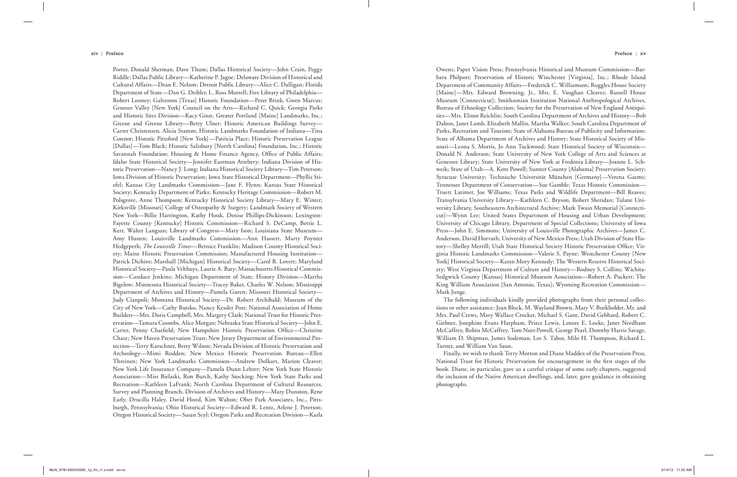Owens; Paper Vision Press; Pennsylvania Historical and Museum Commission—Barbara Philpott; Preservation of Historic Winchester [Virginia], Inc.; Rhode Island Department of Community Affairs—Frederick C. Williamson; Ruggles House Society [Maine]—Mrs. Edward Browning, Jr., Mrs. E. Vaughan Cleaves; Russell House Museum [Connecticut]; Smithsonian Institution National Anthropological Archives, Bureau of Ethnology Collection; Society for the Preservation of New England Antiquities—Mrs. Elinor Reichlin; South Carolina Department of Archives and History—Bob Dalton, Janet Lamb, Elizabeth Mallin, Martha Walker; South Carolina Department of Parks, Recreation and Tourism; State of Alabama Bureau of Publicity and Information; State of Albama Department of Archives and History; State Historical Society of Missouri—Leona S. Morris, Jo Ann Tuckwood; State Historical Society of Wisconsin— Donald N. Anderson; State University of New York College of Arts and Sciences at Genessee Library; State University of New York at Fredonia Library—Joanne L. Schweik; State of Utah—A. Kent Powell; Sumter County [Alabama] Preservation Society; Syracuse University; Technische Universität München [Germany]—Verena Gaems; Tennessee Department of Conservation—Sue Gamble; Texas Historic Commission— Truett Latimer, Joe Williams; Texas Parks and Wildlife Department—Bill Reaves; Transylvania University Library—Kathleen C. Bryson, Robert Sheridan; Tulane University Library, Southeastern Architectural Archive; Mark Twain Memorial [Connecticut]—Wynn Lee; United States Department of Housing and Urban Development; University of Chicago Library, Department of Special Collections; University of Iowa Press—John E. Simmons; University of Louisville Photographic Archives—James C. Anderson, David Horvath; University of New Mexico Press; Utah Division of State History—Shelley Merrill; Utah State Historical Society Historic Preservation Office; Vir<sup>g</sup>inia Historic Landmarks Commission—Valerie S. Payne; Westchester County [New York] Historical Society—Karen Mory Kennedy; The Western Reserve Historical Society; West Virginia Department of Culture and History—Rodney S. Collins; Wichita-Sedgwick County [Kansas] Historical Museum Association—Robert A. Puckett; The King William Association [San Antonio, Texas]; Wyoming Recreation Commission— Mark Junge.

The following individuals kindly provided photographs from their personal collections or other assistance: Jean Block, M. Wayland Brown, Mary V. Burkholder, Mr. and Mrs. Paul Crews, Mary Wallace Crocker, Michael S. Gant, David Gebhard, Robert C. Giebner, Josephine Evans Harpham, Peirce Lewis, Lenore E. Locke, Janet Needham McCaffrey, Robin McCaffrey, Tom Nutt-Powell, George Pearl, Dorothy Harris Savage, William D. Shipman, James Sodeman, Lee S. Tabor, Milo H. Thompson, Richard L. Turner, and William Van Saun.

Finally, we wish to thank Terry Morton and Diane Maddex of the Preservation Press, National Trust for Historic Preservation for encouragement in the first stages of the book. Diane, in particular, gave us a careful critique of some early chapters, suggested the inclusion of the Native American dwellings, and, later, gave guidance in obtaining <sup>p</sup>hotographs.

Porter, Donald Sherman, Dave Thum; Dallas Historical Society—John Crain, Peggy Riddle; Dallas Public Library—Katherine P. Jagoe; Delaware Division of Historical and Cultural Affairs—Dean E. Nelson; Detroit Public Library—Alice C. Dalligan; Florida Department of State—Dan G. Deibler, L. Ross Morrell; Free Library of Philadelphia— Robert Looney; Galveston [Texas] Historic Foundation—Peter Brink, Gwen Marcus; Genesee Valley [New York] Council on the Arts—Richard C. Quick; Georgia Parks and Historic Sites Division—Kacy Ginn; Greater Portland [Maine] Landmarks, Inc.; Greene and Greene Library—Betty Ulner; Historic American Buildings Survey— Carter Christensen, Alicia Stamm; Historic Landmarks Foundation of Indiana—Tina Connor; Historic Pittsford [New York]—Patricia Place; Historic Preservation League [Dallas]—Tom Black; Historic Salisbury [North Carolina] Foundation, Inc.; Historic Savannah Foundation; Housing & Home Finance Agency, Office of Public Affairs; Idaho State Historical Society—Jennifer Eastman Attebery; Indiana Division of Historic Preservation—Nancy J. Long; Indiana Historical Society Library—Tim Peterson; Iowa Division of Historic Preservation; Iowa State Historical Department—Phyllis Stiefel; Kansas City Landmarks Commission—Jane F. Flynn; Kansas State Historical Society; Kentucky Department of Parks; Kentucky Heritage Commission—Robert M. Polsgrove, Anne Thompson; Kentucky Historical Society Library—Mary E. Winter; Kirksville [Missouri] College of Osteopathy & Surgery; Landmark Society of Western New York-Billie Harrington, Kathy Houk, Denise Phillips-Dickinson; Lexington-Fayette County [Kentucky] Historic Commission—Richard S. DeCamp, Bettie L. Kerr, Walter Langsan; Library of Congress—Mary Ison; Louisiana State Museum— Amy Husten; Louisville Landmarks Commission—Ann Hassett, Marty Poynter Hedgepeth; *The Louisville Times—*Bernice Franklin; Madison County Historical Society; Maine Historic Preservation Commission; Manufactured Housing Institution— Patrick Dichiro; Marshall [Michigan] Historical Society—Carol B. Lovett; Maryland Historical Society—Paula Velthuys, Laurie A. Baty; Massachusetts Historical Commission—Candace Jenkins; Michigan Department of State, History Division—Martha Bigelow; Minnesota Historical Society—Tracey Baker, Charles W. Nelson; Mississippi Department of Archives and History—Pamela Guren; Missouri Historical Society— Judy Cianpoli; Montana Historical Society—Dr. Robert Archibald; Museum of the City of New York—Cathy Butsko, Nancy Kessler Post; National Association of Home Builders—Mrs. Doris Campbell, Mrs. Margery Clark; National Trust for Historic Preservation—Tamara Coombs, Alice Morgan; Nebraska State Historical Society—John E. Carter, Penny Chatfield; New Hampshire Historic Preservation Office-Christine Chase; New Haven Preservation Trust; New Jersey Department of Environmental Protection—Terry Karschner, Betty Wilson; Nevada Division of Historic Preservation and Archeology—Mimi Rodden; New Mexico Historic Preservation Bureau—Ellen Threinen; New York Landmarks Commission—Andrew Dolkart, Marion Cleaver; New York Life Insurance Company—Pamela Dunn Lehrer; New York State Historic Association—Miss Bielaski, Ron Burch, Kathy Stocking; New York State Parks and Recreation—Kathleen LaFrank; North Carolina Department of Cultural Resources, Survey and Planning Branch, Division of Archives and History—Mary Dunston, Rene Early, Drucilla Haley, David Hood, Kim Walton; Ober Park Associates, Inc., Pittsburgh, Pennsylvania; Ohio Historical Society—Edward R. Lentz, Arlene J. Peterson; Oregon Historical Society—Susan Seyl; Oregon Parks and Recreation Division—Karla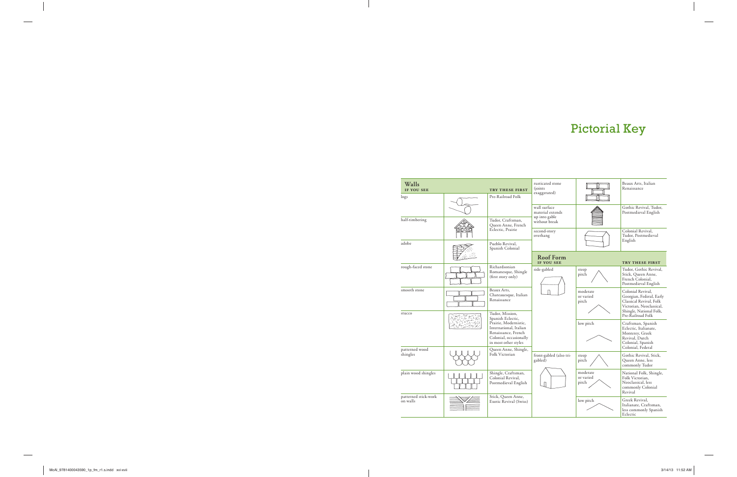## Pictorial Key

| Walls<br><b>IF YOU SEE</b>       | TRY THESE FIRST                                                                                                                                                  | rust<br>(joi) |
|----------------------------------|------------------------------------------------------------------------------------------------------------------------------------------------------------------|---------------|
| logs                             | Pre-Railroad Folk                                                                                                                                                | exaş          |
|                                  |                                                                                                                                                                  | wall<br>mat   |
| half-timbering                   | Tudor, Craftsman,<br>Queen Anne, French                                                                                                                          | up i<br>witl  |
|                                  | Eclectic, Prairie                                                                                                                                                | secc<br>over  |
| adobe                            | Pueblo Revival,<br>Spanish Colonial                                                                                                                              |               |
|                                  |                                                                                                                                                                  | R<br>П        |
| rough-faced stone                | Richardsonian<br>Romanesque, Shingle<br>(first story only)                                                                                                       | side          |
| smooth stone                     | Beaux Arts,<br>Chateauesque, Italian<br>Renaissance                                                                                                              |               |
| stucco                           | Tudor, Mission,<br>Spanish Eclectic,<br>Prairie, Modernistic,<br>International, Italian<br>Renaissance, French<br>Colonial, occasionally<br>in most other styles |               |
| patterned wood<br>shingles       | Queen Anne, Shingle,<br>Folk Victorian                                                                                                                           | fror<br>gabl  |
| plain wood shingles              | Shingle, Craftsman,<br>Colonial Revival,<br>Postmedieval English                                                                                                 |               |
| patterned stick-work<br>on walls | Stick, Queen Anne,<br>Exotic Revival (Swiss)                                                                                                                     |               |

 $\overline{\phantom{a}}$ 

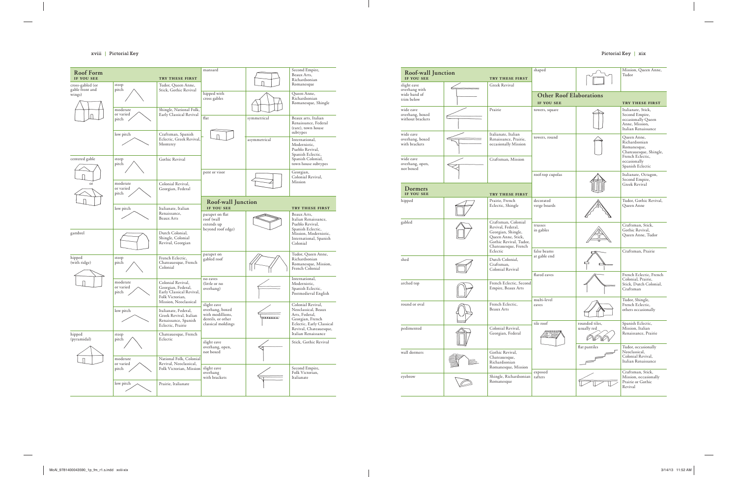### xviii | Pictorial Key

 $\overline{\phantom{a}}$ 

### | Pictorial Key Pictorial Key | xix

| <b>Roof Form</b><br><b>IF YOU SEE</b> |                                 | TRY THESE FIRST                                                                                                 | mansard                                                                                       |                 | Second Empire,<br>Beaux Arts,                                                                                                         |
|---------------------------------------|---------------------------------|-----------------------------------------------------------------------------------------------------------------|-----------------------------------------------------------------------------------------------|-----------------|---------------------------------------------------------------------------------------------------------------------------------------|
| cross-gabled (or<br>gable front and   | steep<br>pitch                  | Tudor, Queen Anne,<br>Stick, Gothic Revival                                                                     |                                                                                               |                 | Richardsonian<br>Romanesque                                                                                                           |
| wings)                                | moderate                        | Shingle, National Folk,                                                                                         | hipped with<br>cross gables                                                                   |                 | Queen Anne,<br>Richardsonian<br>Romanesque, Shingle                                                                                   |
|                                       | or varied<br>pitch<br>low pitch | Early Classical Revival<br>Craftsman, Spanish                                                                   | flat                                                                                          | symmetrical     | Beaux arts, Italian<br>Renaissance, Federal<br>(rare), town house<br>subtypes                                                         |
|                                       |                                 | Eclectic, Greek Revival,<br>Monterey                                                                            |                                                                                               | asymmetrical    | International,<br>Modernistic,<br>Pueblo Revival,<br>Spanish Eclectic,                                                                |
| centered gable                        | steep<br>pitch                  | Gothic Revival                                                                                                  |                                                                                               |                 | Spanish Colonial,<br>town house subtypes                                                                                              |
| or                                    | moderate                        | Colonial Revival,                                                                                               | pent or visor                                                                                 |                 | Georgian,<br>Colonial Revival,<br>Mission                                                                                             |
|                                       | or varied<br>pitch              | Georgian, Federal                                                                                               |                                                                                               |                 |                                                                                                                                       |
|                                       | low pitch                       | Italianate, Italian                                                                                             | Roof-wall Junction<br>IF YOU SEE                                                              |                 | <b>TRY THESE FIRST</b>                                                                                                                |
|                                       |                                 | Renaissance,<br>Beaux Arts                                                                                      | parapet on flat<br>roof (wall<br>extends up<br>beyond roof edge)                              |                 | Beaux Arts,<br>Italian Renaissance,<br>Pueblo Revival,<br>Spanish Eclectic,                                                           |
| gambrel                               |                                 | Dutch Colonial,<br>Shingle, Colonial<br>Revival, Georgian                                                       |                                                                                               |                 | Mission, Modernistic,<br>International, Spanish<br>Colonial                                                                           |
| hipped<br>(with ridge)                | steep<br>pitch                  | French Eclectic,<br>Chateauesque, French<br>Colonial                                                            | parapet on<br>gabled roof                                                                     |                 | Tudor, Queen Anne,<br>Richardsonian<br>Romanesque, Mission,<br>French Colonial                                                        |
|                                       | moderate<br>or varied<br>pitch  | Colonial Revival,<br>Georgian, Federal,<br>Early Classical Revival,<br>Folk Victorian,<br>Mission, Neoclassical | no eaves<br>(little or no<br>overhang)                                                        |                 | International,<br>Modernistic,<br>Spanish Eclectic,<br>Postmedieval English                                                           |
|                                       | low pitch                       | Italianate, Federal,<br>Greek Revival, Italian<br>Renaissance, Spanish<br>Eclectic, Prairie                     | slight eave<br>overhang, boxed<br>with modillions,<br>dentils, or other<br>classical moldings | <b>********</b> | Colonial Revival,<br>Neoclassical, Beaux<br>Arts, Federal,<br>Georgian, French<br>Eclectic, Early Classical<br>Revival, Chateauesque, |
| hipped<br>(pyramidal)                 | steep<br>pitch                  | Chateauesque, French<br>Eclectic                                                                                | slight eave<br>overhang, open,<br>not boxed                                                   |                 | Italian Renaissance<br>Stick, Gothic Revival                                                                                          |
|                                       | moderate<br>or varied<br>pitch  | National Folk, Colonial<br>Revival, Neoclassical,<br>Folk Victorian, Mission                                    | slight eave<br>overhang                                                                       |                 | Second Empire,<br>Folk Victorian,                                                                                                     |
|                                       | low pitch                       | Prairie, Italianate                                                                                             | with brackets                                                                                 |                 | Italianate                                                                                                                            |

| Roof-wall Junction                                         |                                                                                                                                        | shaped                                              |                               | Mission, Queen Anne,<br>Tudor                                                                       |
|------------------------------------------------------------|----------------------------------------------------------------------------------------------------------------------------------------|-----------------------------------------------------|-------------------------------|-----------------------------------------------------------------------------------------------------|
| <b>IF YOU SEE</b><br>slight eave<br>overhang with          | TRY THESE FIRST<br>Greek Revival                                                                                                       |                                                     |                               |                                                                                                     |
| wide band of<br>trim below                                 |                                                                                                                                        | <b>Other Roof Elaborations</b><br><b>IF YOU SEE</b> |                               | <b>TRY THESE FIRST</b>                                                                              |
| wide eave<br>overhang, boxed<br>without brackets           | Prairie                                                                                                                                | towers, square                                      |                               | Italianate, Stick,<br>Second Empire,<br>occasionally Queen<br>Anne, Mission,<br>Italian Renaissance |
| wide eave<br>overhang, boxed<br>with brackets<br>wide eave | Italianate, Italian<br>Renaissance, Prairie,<br>occasionally Mission<br>Craftsman, Mission                                             | towers, round                                       |                               | Queen Anne,<br>Richardsonian<br>Romanesque,<br>Chateauesque, Shingle,<br>French Eclectic,           |
| overhang, open,<br>not boxed                               |                                                                                                                                        |                                                     |                               | occasionally<br>Spanish Eclectic                                                                    |
| Dormers                                                    |                                                                                                                                        | roof-top cupolas                                    |                               | Italianate, Octagon,<br>Second Empire,<br>Greek Revival                                             |
| IF YOU SEE                                                 | TRY THESE FIRST                                                                                                                        |                                                     |                               |                                                                                                     |
| hipped                                                     | Prairie, French<br>Eclectic, Shingle                                                                                                   | decorated<br>verge boards                           |                               | Tudor, Gothic Revival,<br>Queen Anne                                                                |
| gabled                                                     | Craftsman, Colonial<br>Revival, Federal,<br>Georgian, Shingle,<br>Queen Anne, Stick,<br>Gothic Revival, Tudor,<br>Chateauesque, French | trusses<br>in gables                                |                               | Craftsman, Stick,<br>Gothic Revival,<br>Queen Anne, Tudor                                           |
| shed                                                       | Eclectic<br>Dutch Colonial,<br>Craftsman,<br>Colonial Revival                                                                          | false beams<br>at gable end                         |                               | Craftsman, Prairie                                                                                  |
| arched top                                                 | French Eclectic, Second<br>Empire, Beaux Arts                                                                                          | flared eaves                                        |                               | French Eclectic, French<br>Colonial, Prairie,<br>Stick, Dutch Colonial,<br>Craftsman                |
|                                                            |                                                                                                                                        |                                                     |                               |                                                                                                     |
| round or oval                                              | French Eclectic,<br>Beaux Arts                                                                                                         | multi-level<br>eaves                                |                               | Tudor, Shingle,<br>French Eclectic,<br>others occasionally                                          |
| pedimented                                                 | Colonial Revival,<br>Georgian, Federal                                                                                                 | tile roof                                           | rounded tiles,<br>usually red | Spanish Eclectic,<br>Mission, Italian<br>Renaissance, Prairie                                       |
| wall dormers                                               | Gothic Revival,<br>Chateauesque,<br>Richardsonian<br>Romanesque, Mission                                                               |                                                     | flat pantiles                 | Tudor, occasionally<br>Neoclassical,<br>Colonial Revival,<br>Italian Renaissance                    |
| eyebrow                                                    | Shingle, Richardsonian  <br>Romanesque                                                                                                 | exposed<br>rafters                                  |                               | Craftsman, Stick,<br>Mission, occasionally<br>Prairie or Gothic<br>Revival                          |

 $\overline{\phantom{a}}$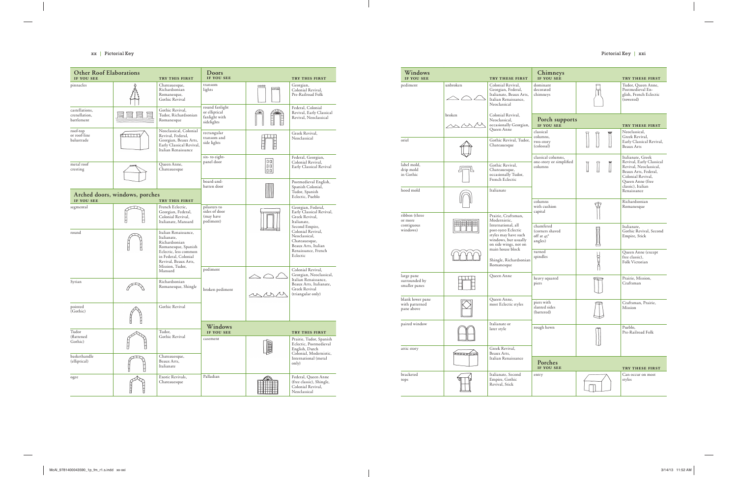### | Pictorial Key Pictorial Key | xxi

### xx | Pictorial Key

| <b>Other Roof Elaborations</b><br><b>IF YOU SEE</b> |                                | TRY THIS FIRST                                                                                                                                                                     | <b>Doors</b><br><b>IF YOU SEE</b>                              |                                   | <b>TRY THIS FIRST</b>                                                                                                              |
|-----------------------------------------------------|--------------------------------|------------------------------------------------------------------------------------------------------------------------------------------------------------------------------------|----------------------------------------------------------------|-----------------------------------|------------------------------------------------------------------------------------------------------------------------------------|
| pinnacles                                           |                                | Chateauesque,<br>Richardsonian<br>Romanesque,<br>Gothic Revival                                                                                                                    | transom<br>lights                                              | oado<br>0000                      | Georgian,<br>Colonial Revival,<br>Pre-Railroad Folk                                                                                |
| castellations,<br>crenellation,<br>battlement       |                                | Gothic Revival.<br>Tudor, Richardsonian<br>Romanesque                                                                                                                              | round fanlight<br>or elliptical<br>fanlight with<br>sidelights |                                   | Federal, Colonial<br>Revival, Early Classical<br>Revival, Neoclassical                                                             |
| roof-top<br>or roof-line<br>balustrade              | $\frac{1}{2}$                  | Neoclassical, Colonial<br>Revival, Federal,<br>Georgian, Beaux Arts,<br>Early Classical Revival,<br>Italian Renaissance                                                            | rectangular<br>transom and<br>side lights                      |                                   | Greek Revival,<br>Neoclassical                                                                                                     |
| metal roof<br>cresting                              |                                | Queen Anne,<br>Chateauesque                                                                                                                                                        | six- to eight-<br>panel door                                   | $\Box$ Box<br>$\Box$ $\Box$<br>00 | Federal, Georgian,<br>Colonial Revival,<br>Early Classical Revival                                                                 |
| IF YOU SEE                                          | Arched doors, windows, porches | <b>TRY THIS FIRST</b>                                                                                                                                                              | board-and-<br>batten door                                      |                                   | Postmedieval English,<br>Spanish Colonial,<br>Tudor, Spanish<br>Eclectic, Pueblo                                                   |
| segmental                                           |                                | French Eclectic,<br>Georgian, Federal,<br>Colonial Revival,<br>Italianate, Mansard                                                                                                 | pilasters to<br>sides of door<br>(may have<br>pediment)        |                                   | Georgian, Federal,<br>Early Classical Revival,<br>Greek Revival.<br>Italianate,<br>Second Empire,                                  |
| round                                               |                                | Italian Renaissance,<br>Italianate,<br>Richardsonian<br>Romanesque, Spanish<br>Eclectic, less common<br>in Federal, Colonial<br>Revival, Beaux Arts,<br>Mission, Tudor,<br>Mansard | pediment                                                       |                                   | Colonial Revival.<br>Neoclassical,<br>Chateauesque,<br>Beaux Arts, Italian<br>Renaissance, French<br>Eclectic<br>Colonial Revival, |
| Syrian                                              |                                | Richardsonian<br>Romanesque, Shingle                                                                                                                                               | broken pediment                                                |                                   | Georgian, Neoclassical,<br>Italian Renaissance,<br>Beaux Arts, Italianate,<br>Greek Revival<br>(triangular only)                   |
| pointed<br>(Gothic)                                 |                                | Gothic Revival                                                                                                                                                                     |                                                                |                                   |                                                                                                                                    |
| Tudor<br>(flattened<br>Gothic)                      | J<br>J                         | Tudor,<br>Gothic Revival                                                                                                                                                           | Windows<br><b>IF YOU SEE</b><br>casement                       |                                   | <b>TRY THIS FIRST</b><br>Prairie, Tudor, Spanish<br>Eclectic, Postmedieval<br>English, Dutch                                       |
| baskethandle<br>(elliptical)                        |                                | Chateauesque,<br>Beaux Arts,<br>Italianate                                                                                                                                         |                                                                |                                   | Colonial, Modernistic,<br>International (metal<br>only)                                                                            |
| ogee                                                |                                | Exotic Revivals,<br>Chateauesque                                                                                                                                                   | Palladian                                                      |                                   | Federal, Queen Anne<br>(free classic), Shingle,<br>Colonial Revival,<br>Neoclassical                                               |

| Windows<br><b>IF YOU SEE</b>                       |          | TRY THESE FIRST                                                                                                                   | Chimneys<br>IF YOU SEE                                   | TRY THESE FIRST                                                                                                                                                              |
|----------------------------------------------------|----------|-----------------------------------------------------------------------------------------------------------------------------------|----------------------------------------------------------|------------------------------------------------------------------------------------------------------------------------------------------------------------------------------|
| pediment                                           | unbroken | Colonial Revival,<br>Georgian, Federal,<br>Italianate, Beaux Arts,<br>Italian Renaissance.<br>Neoclassical                        | dominant<br>decorated<br>chimneys                        | Tudor, Queen Anne,<br>Postmedieval En-<br>glish, French Eclectic<br>(towered)                                                                                                |
|                                                    | broken   | Colonial Revival,<br>Neoclassical,<br>occasionally Georgian,                                                                      | Porch supports<br>IF YOU SEE                             | <b>TRY THESE FIRST</b>                                                                                                                                                       |
| oriel                                              |          | Queen Anne<br>Gothic Revival, Tudor,<br>Chateauesque                                                                              | classical<br>columns,<br>two-story<br>(colossal)         | Neoclassical,<br>Greek Revival,<br>Early Classical Revival,<br><b>Beaux Arts</b>                                                                                             |
| label mold,<br>drip mold<br>in Gothic<br>hood mold |          | Gothic Revival,<br>Chateauesque,<br>occasionally Tudor,<br>French Eclectic<br>Italianate                                          | classical columns,<br>one-story or simplified<br>columns | Italianate, Greek<br>Revival, Early Classical<br>Revival, Neoclassical,<br>Beaux Arts, Federal,<br>Colonial Revival,<br>Queen Anne (free<br>classic), Italian<br>Renaissance |
| ribbon (three                                      |          | Prairie, Craftsman,                                                                                                               | columns<br>with cushion<br>capital                       | Richardsonian<br>Romanesque                                                                                                                                                  |
| or more<br>contiguous<br>windows)                  |          | Modernistic,<br>International, all<br>post-1900 Eclectic<br>styles may have such<br>windows, but usually<br>on side wings, not on | chamfered<br>(corners shaved<br>off at 45°<br>angles)    | Italianate,<br>Gothic Revival, Second<br>Empire, Stick                                                                                                                       |
|                                                    |          | main house block<br>Shingle, Richardsonian<br>Romanesque                                                                          | turned<br>spindles                                       | Queen Anne (except<br>free classic),<br>Folk Victorian                                                                                                                       |
| large pane<br>surrounded by<br>smaller panes       |          | Queen Anne                                                                                                                        | heavy squared<br>piers                                   | Prairie, Mission,<br>Craftsman                                                                                                                                               |
| blank lower pane<br>with patterned<br>pane above   |          | Queen Anne,<br>most Eclectic styles                                                                                               | piers with<br>slanted sides<br>(battered)                | Craftsman, Prairie,<br>Mission                                                                                                                                               |
| paired window                                      | $\Box$   | Italianate or<br>later style                                                                                                      | rough hewn                                               | Pueblo,<br>Pre-Railroad Folk                                                                                                                                                 |
| attic story                                        |          | Greek Revival,<br>Beaux Arts,<br>Italian Renaissance                                                                              | Porches                                                  |                                                                                                                                                                              |
|                                                    |          |                                                                                                                                   | IF YOU SEE                                               | TRY THESE FIRST                                                                                                                                                              |
| bracketed<br>tops                                  |          | Italianate, Second<br>Empire, Gothic<br>Revival, Stick                                                                            | entry                                                    | Can occur on most<br>styles                                                                                                                                                  |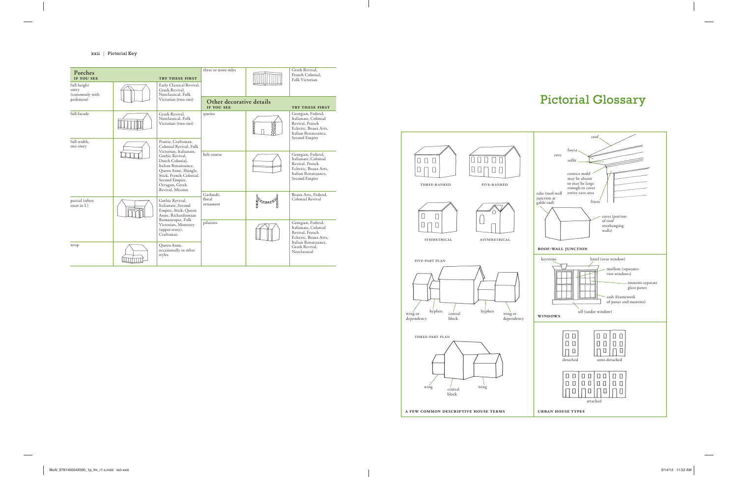#### xxii | Pictorial Key

# Pictorial Glossary

| Porches<br><b>IF YOU SEE</b>           | TRY THESE FIRST                                                                                                                                                                                 | three or more sides                           |           | Greek Revival,<br>French Colonial.<br>Folk Victorian                                                                            |
|----------------------------------------|-------------------------------------------------------------------------------------------------------------------------------------------------------------------------------------------------|-----------------------------------------------|-----------|---------------------------------------------------------------------------------------------------------------------------------|
| full-height<br>entry<br>(commonly with | Early Classical Revival,<br>Greek Revival,<br>Neoclassical, Folk                                                                                                                                |                                               |           |                                                                                                                                 |
| pediment)                              | Victorian (two-tier)                                                                                                                                                                            | Other decorative details<br><b>IF YOU SEE</b> |           | TRY THESE FIRST                                                                                                                 |
| full-facade                            | Greek Revival,<br>Neoclassical, Folk<br>Victorian (two-tier)                                                                                                                                    | quoins                                        | ra<br>Bar | Georgian, Federal,<br>Italianate, Colonial<br>Revival, French<br>Eclectic, Beaux Arts,<br>Italian Renaissance,<br>Second Empire |
| full-width.<br>one-story               | Prairie, Craftsman,<br>Colonial Revival, Folk                                                                                                                                                   |                                               |           |                                                                                                                                 |
|                                        | Victorian, Italianate,<br>Gothic Revival.<br>Dutch Colonial,<br>Italian Renaissance,<br>Queen Anne, Shingle,<br>Stick, French Colonial,<br>Second Empire,<br>Octagon, Greek<br>Revival, Mission | belt course                                   |           | Georgian, Federal,<br>Italianate, Colonial<br>Revival, French<br>Eclectic, Beaux Arts,<br>Italian Renaissance,<br>Second Empire |
| partial (often<br>inset in I.)         | Gothic Revival.<br>Italianate, Second<br>Empire, Stick, Queen<br>Anne, Richardsonian                                                                                                            | Garlands,<br>floral<br>ornament               |           | Beaux Arts, Federal,<br>Colonial Revival                                                                                        |
|                                        | Romanesque, Folk<br>Victorian, Monterey<br>(upper-story),<br>Craftsman                                                                                                                          | pilasters                                     |           | Georgian, Federal,<br>Italianate, Colonial<br>Revival, French<br>Eclectic, Beaux Arts,                                          |
| wrap                                   | Queen Anne,<br>occasionally in other<br>styles                                                                                                                                                  |                                               |           | Italian Renaissance,<br>Greek Revival.<br>Neoclassical                                                                          |



 $\overline{\phantom{a}}$